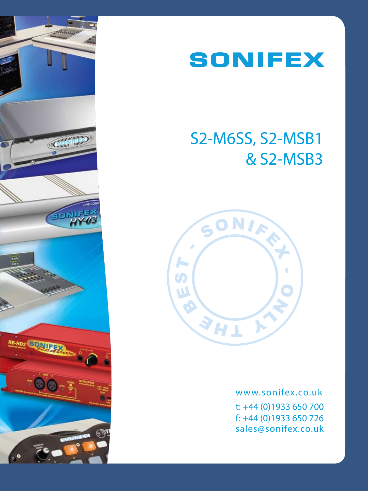



# S2-M6SS, S2-MSB1 & S2-MSB3



www.sonifex.co.uk t: +44 (0)1933 650 700 f: +44 (0)1933 650 726 sales@sonifex.co.uk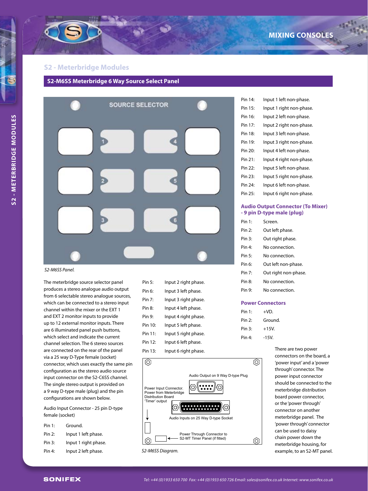#### **S2 - Meterbridge Modules**





#### *S2-M6SS Panel.*

The meterbridge source selector panel produces a stereo analogue audio output from 6 selectable stereo analogue sources, which can be connected to a stereo input channel within the mixer or the EXT 1 and EXT 2 monitor inputs to provide up to 12 external monitor inputs. There are 6 illuminated panel push buttons, which select and indicate the current channel selection. The 6 stereo sources are connected on the rear of the panel via a 25 way D-Type female (socket) connector, which uses exactly the same pin configuration as the stereo audio source input connector on the S2-C6SS channel. The single stereo output is provided on a 9 way D-type male (plug) and the pin configurations are shown below.

Audio Input Connector - 25 pin D-type female (socket)

| Pin 1: | Ground.             |
|--------|---------------------|
| Pin 2: | Input 1 left phase. |

- Pin 3: Input 1 right phase.
- Pin 4: Input 2 left phase.

| Pin 5:    | Input 2 right phase. |
|-----------|----------------------|
| Pin 6:    | Input 3 left phase.  |
| Pin 7:    | Input 3 right phase. |
| Pin 8:    | Input 4 left phase.  |
| Pin 9:    | Input 4 right phase. |
| Pin 10:   | Input 5 left phase.  |
| Pin 11:   | Input 5 right phase. |
| Pin $12:$ | Input 6 left phase.  |
|           |                      |

Pin 13: Input 6 right phase.

⊚ ⊚ Audio Output on 9 Way D-type Plug . . . . .<br>. . . . Power Input Connector. ίО Power from Meterbridge Distribution Board 'Timer' output(O) Audio Inputs on 25 Way D-type Socket Power Through Connector to S2-MT Timer Panel (if fitted)  $\circledcirc$  $\circledcirc$ 

| Pin 14: | Input 1 left non-phase.  |
|---------|--------------------------|
| Pin 15: | Input 1 right non-phase. |
| Pin 16: | Input 2 left non-phase.  |
| Pin 17: | Input 2 right non-phase. |
| Pin 18: | Input 3 left non-phase.  |
| Pin 19: | Input 3 right non-phase. |
| Pin 20: | Input 4 left non-phase.  |
| Pin 21: | Input 4 right non-phase. |
| Pin 22: | Input 5 left non-phase.  |
| Pin 23: | Input 5 right non-phase. |
| Pin 24: | Input 6 left non-phase.  |
| Pin 25: | Input 6 right non-phase. |

#### **Audio Output Connector (To Mixer) - 9 pin D-type male (plug)**

| Pin 1. | Screen               |  |
|--------|----------------------|--|
| Pin 2: | Out left phase.      |  |
| Pin 3: | Out right phase.     |  |
| Pin 4: | No connection.       |  |
| Pin 5: | No connection.       |  |
| Pin 6. | Out left non-phase.  |  |
| Pin 7: | Out right non-phase. |  |
| Pin 8: | No connection.       |  |
| Pin 9: | No connection.       |  |

#### **Power Connectors**

| Pin 1: | +VD.    |
|--------|---------|
| Pin 2: | Ground. |
| Pin 3: | $+15V$  |
| Pin 4: | $-15V$  |

There are two power connectors on the board, a 'power input' and a 'power through' connector. The power input connector should be connected to the meterbridge distribution board power connector, or the 'power through' connector on another meterbridge panel. The 'power through' connector can be used to daisy chain power down the meterbridge housing, for *S2-M6SS Diagram.* example, to an S2-MT panel.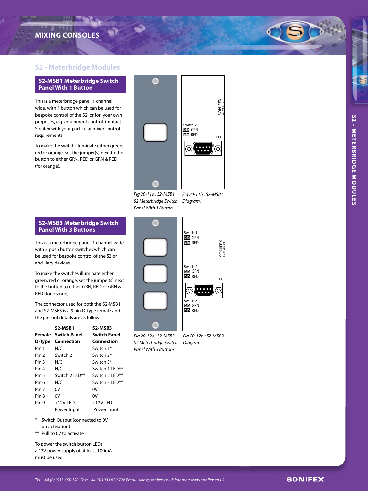## **MIXING CONSOLES**



#### **S2-MSB1 Meterbridge Switch Panel With 1 Button**

This is a meterbridge panel, 1 channel wide, with 1 button which can be used for bespoke control of the S2, or for your own purposes, e.g. equipment control. Contact Sonifex with your particular mixer control requirements.

To make the switch illuminate either green, red or orange, set the jumper(s) next to the button to either GRN, RED or GRN & RED (for orange).

### *Fig 20 -11a : S2-MSB1 S2 Meterbridge Switch Diagram. Panel With 1 Button.*

**DO** GRN **ZZ** RED

Switch 2

#### **S2-MSB3 Meterbridge Switch Panel With 3 Buttons**

This is a meterbridge panel, 1 channel wide, with 3 push button switches which can be used for bespoke control of the S2 or ancilliary devices.

To make the switches illuminate either green, red or orange, set the jumper(s) next to the button to either GRN, RED or GRN & RED (for orange).

The connector used for both the S2-MSB1 and S2-MSB3 is a 9 pin D-type female and the pin-out details are as follows:

|        | S2-MSB1             | S2-MSB3             |
|--------|---------------------|---------------------|
| Female | <b>Switch Panel</b> | <b>Switch Panel</b> |
| D-Type | Connection          | Connection          |
| Pin 1  | N/C                 | Switch 1*           |
| Pin 2  | Switch 2            | Switch 2*           |
| Pin 3  | N/C                 | Switch 3*           |
| Pin 4  | N/C                 | Switch 1 I FD**     |
| Pin 5  | Switch 2 LED**      | Switch 2 LED**      |
| Pin 6  | N/C                 | Switch 3 LED**      |
| Pin 7  | ٥V                  | 0V                  |
| Pin 8  | 0V                  | 0V                  |
| Pin 9  | $+12V$ LED          | $+12V$ LED          |
|        | Power Input         | Power Input         |

- \* Switch Output (connected to 0V on activation)
- \*\* Pull to 0V to activate

To power the switch button LEDs, a 12V power supply of at least 100mA must be used.

*Fig 20 -12a : S2-MSB3 S2 Meterbridge Switch Diagram. Panel With 3 Buttons.*





PL1

ි

SONIFEX S2-MSB1-01

SONIFEX